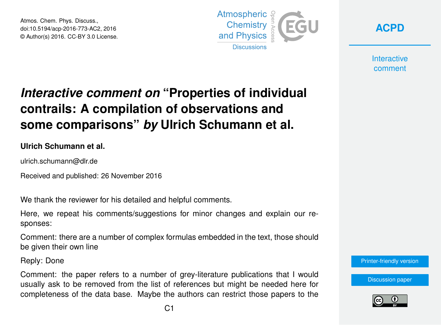Atmos. Chem. Phys. Discuss., doi:10.5194/acp-2016-773-AC2, 2016 © Author(s) 2016. CC-BY 3.0 License.



**[ACPD](http://www.atmos-chem-phys-discuss.net/)**

**Interactive** comment

## *Interactive comment on* **"Properties of individual contrails: A compilation of observations and some comparisons"** *by* **Ulrich Schumann et al.**

## **Ulrich Schumann et al.**

ulrich.schumann@dlr.de

Received and published: 26 November 2016

We thank the reviewer for his detailed and helpful comments.

Here, we repeat his comments/suggestions for minor changes and explain our responses:

Comment: there are a number of complex formulas embedded in the text, those should be given their own line

Reply: Done

Comment: the paper refers to a number of grey-literature publications that I would usually ask to be removed from the list of references but might be needed here for completeness of the data base. Maybe the authors can restrict those papers to the



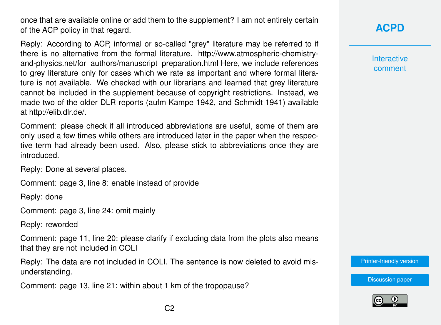once that are available online or add them to the supplement? I am not entirely certain of the ACP policy in that regard.

Reply: According to ACP, informal or so-called "grey" literature may be referred to if there is no alternative from the formal literature. http://www.atmospheric-chemistryand-physics.net/for\_authors/manuscript\_preparation.html Here, we include references to grey literature only for cases which we rate as important and where formal literature is not available. We checked with our librarians and learned that grey literature cannot be included in the supplement because of copyright restrictions. Instead, we made two of the older DLR reports (aufm Kampe 1942, and Schmidt 1941) available at http://elib.dlr.de/.

Comment: please check if all introduced abbreviations are useful, some of them are only used a few times while others are introduced later in the paper when the respective term had already been used. Also, please stick to abbreviations once they are introduced.

Reply: Done at several places.

Comment: page 3, line 8: enable instead of provide

Reply: done

Comment: page 3, line 24: omit mainly

Reply: reworded

Comment: page 11, line 20: please clarify if excluding data from the plots also means that they are not included in COLI

Reply: The data are not included in COLI. The sentence is now deleted to avoid misunderstanding.

Comment: page 13, line 21: within about 1 km of the tropopause?

## **[ACPD](http://www.atmos-chem-phys-discuss.net/)**

**Interactive** comment

[Printer-friendly version](http://www.atmos-chem-phys-discuss.net/acp-2016-773/acp-2016-773-AC2-print.pdf)

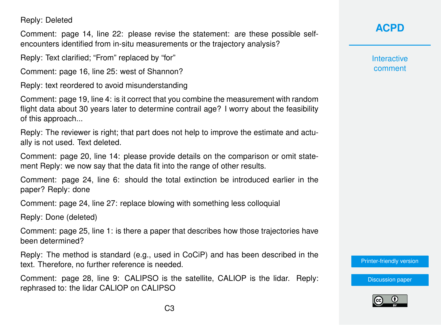Reply: Deleted

Comment: page 14, line 22: please revise the statement: are these possible selfencounters identified from in-situ measurements or the trajectory analysis?

Reply: Text clarified; "From" replaced by "for"

Comment: page 16, line 25: west of Shannon?

Reply: text reordered to avoid misunderstanding

Comment: page 19, line 4: is it correct that you combine the measurement with random flight data about 30 years later to determine contrail age? I worry about the feasibility of this approach...

Reply: The reviewer is right; that part does not help to improve the estimate and actually is not used. Text deleted.

Comment: page 20, line 14: please provide details on the comparison or omit statement Reply: we now say that the data fit into the range of other results.

Comment: page 24, line 6: should the total extinction be introduced earlier in the paper? Reply: done

Comment: page 24, line 27: replace blowing with something less colloquial

Reply: Done (deleted)

Comment: page 25, line 1: is there a paper that describes how those trajectories have been determined?

Reply: The method is standard (e.g., used in CoCiP) and has been described in the text. Therefore, no further reference is needed.

Comment: page 28, line 9: CALIPSO is the satellite, CALIOP is the lidar. Reply: rephrased to: the lidar CALIOP on CALIPSO

**[ACPD](http://www.atmos-chem-phys-discuss.net/)**

**Interactive** comment

[Printer-friendly version](http://www.atmos-chem-phys-discuss.net/acp-2016-773/acp-2016-773-AC2-print.pdf)